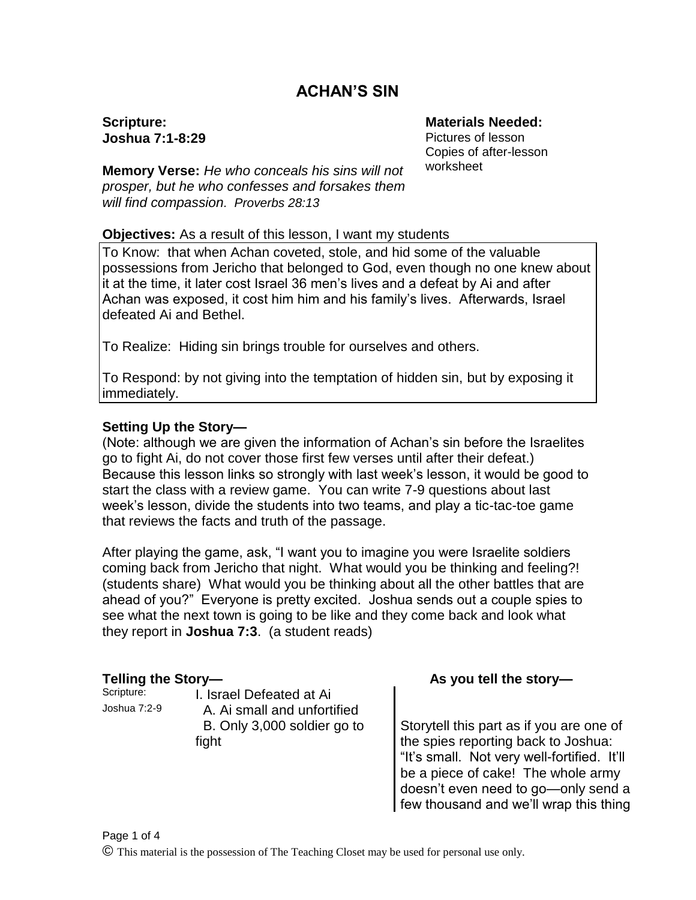# **ACHAN'S SIN**

**Scripture: Joshua 7:1-8:29**

**Memory Verse:** *He who conceals his sins will not prosper, but he who confesses and forsakes them will find compassion. Proverbs 28:13*

#### **Materials Needed:**

Pictures of lesson Copies of after-lesson worksheet

#### **Objectives:** As a result of this lesson, I want my students

To Know: that when Achan coveted, stole, and hid some of the valuable possessions from Jericho that belonged to God, even though no one knew about it at the time, it later cost Israel 36 men's lives and a defeat by Ai and after Achan was exposed, it cost him him and his family's lives. Afterwards, Israel defeated Ai and Bethel.

To Realize: Hiding sin brings trouble for ourselves and others.

To Respond: by not giving into the temptation of hidden sin, but by exposing it immediately.

#### **Setting Up the Story—**

(Note: although we are given the information of Achan's sin before the Israelites go to fight Ai, do not cover those first few verses until after their defeat.) Because this lesson links so strongly with last week's lesson, it would be good to start the class with a review game. You can write 7-9 questions about last week's lesson, divide the students into two teams, and play a tic-tac-toe game that reviews the facts and truth of the passage.

After playing the game, ask, "I want you to imagine you were Israelite soldiers coming back from Jericho that night. What would you be thinking and feeling?! (students share) What would you be thinking about all the other battles that are ahead of you?" Everyone is pretty excited. Joshua sends out a couple spies to see what the next town is going to be like and they come back and look what they report in **Joshua 7:3**. (a student reads)

Scripture: **I. Israel Defeated at Ai** Joshua 7:2-9 A. Ai small and unfortified B. Only 3,000 soldier go to fight

### Telling the Story— **As you tell the story—**

Storytell this part as if you are one of the spies reporting back to Joshua: "It's small. Not very well-fortified. It'll be a piece of cake! The whole army doesn't even need to go—only send a few thousand and we'll wrap this thing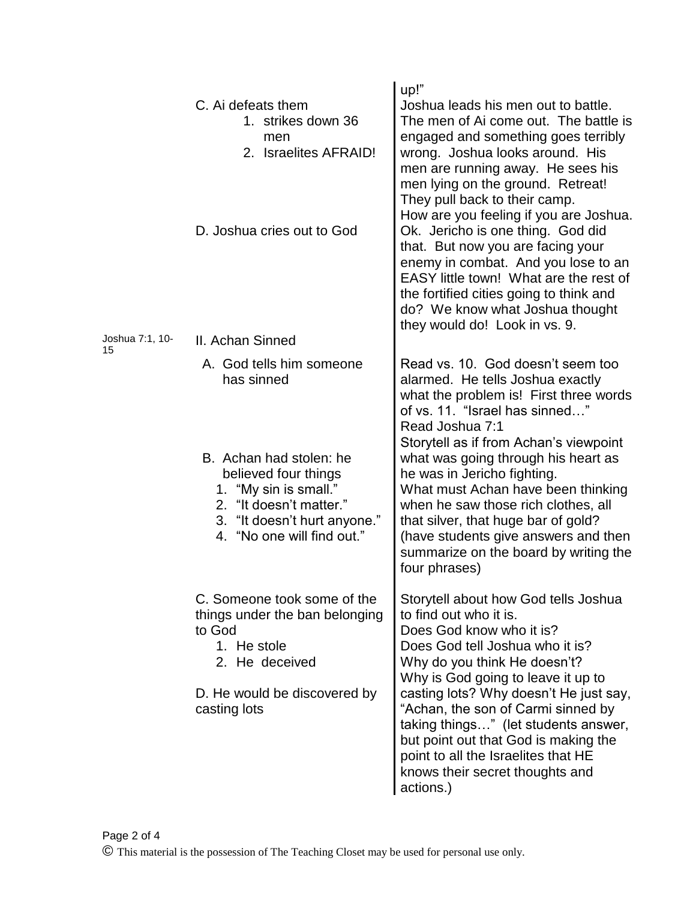| C. Ai defeats them<br>1. strikes down 36<br>men<br>2. Israelites AFRAID!<br>D. Joshua cries out to God                                                   | up!"<br>Joshua leads his men out to battle.<br>The men of Ai come out. The battle is<br>engaged and something goes terribly<br>wrong. Joshua looks around. His<br>men are running away. He sees his<br>men lying on the ground. Retreat!<br>They pull back to their camp.<br>How are you feeling if you are Joshua.<br>Ok. Jericho is one thing. God did<br>that. But now you are facing your<br>enemy in combat. And you lose to an<br>EASY little town! What are the rest of<br>the fortified cities going to think and<br>do? We know what Joshua thought<br>they would do! Look in vs. 9. |
|----------------------------------------------------------------------------------------------------------------------------------------------------------|-----------------------------------------------------------------------------------------------------------------------------------------------------------------------------------------------------------------------------------------------------------------------------------------------------------------------------------------------------------------------------------------------------------------------------------------------------------------------------------------------------------------------------------------------------------------------------------------------|
| II. Achan Sinned                                                                                                                                         |                                                                                                                                                                                                                                                                                                                                                                                                                                                                                                                                                                                               |
| A. God tells him someone<br>has sinned<br>B. Achan had stolen: he<br>believed four things<br>1. "My sin is small."<br>2. "It doesn't matter."            | Read vs. 10. God doesn't seem too<br>alarmed. He tells Joshua exactly<br>what the problem is! First three words<br>of vs. 11. "Israel has sinned"<br>Read Joshua 7:1<br>Storytell as if from Achan's viewpoint<br>what was going through his heart as<br>he was in Jericho fighting.<br>What must Achan have been thinking<br>when he saw those rich clothes, all                                                                                                                                                                                                                             |
| 4. "No one will find out."                                                                                                                               | that silver, that huge bar of gold?<br>(have students give answers and then<br>summarize on the board by writing the<br>four phrases)                                                                                                                                                                                                                                                                                                                                                                                                                                                         |
| C. Someone took some of the<br>things under the ban belonging<br>to God<br>1. He stole<br>2. He deceived<br>D. He would be discovered by<br>casting lots | Storytell about how God tells Joshua<br>to find out who it is.<br>Does God know who it is?<br>Does God tell Joshua who it is?<br>Why do you think He doesn't?<br>Why is God going to leave it up to<br>casting lots? Why doesn't He just say,<br>"Achan, the son of Carmi sinned by<br>taking things" (let students answer,<br>but point out that God is making the<br>point to all the Israelites that HE<br>knows their secret thoughts and                                                                                                                                                 |
|                                                                                                                                                          | 3. "It doesn't hurt anyone."                                                                                                                                                                                                                                                                                                                                                                                                                                                                                                                                                                  |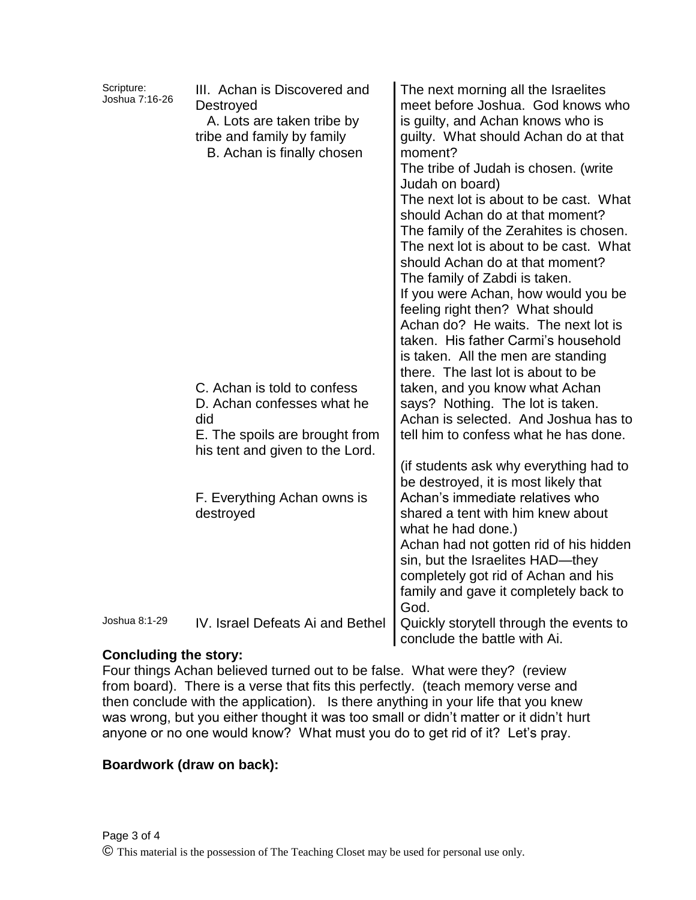| Scripture:<br>Joshua 7:16-26 | III. Achan is Discovered and<br>Destroyed<br>A. Lots are taken tribe by<br>tribe and family by family<br>B. Achan is finally chosen   | The next morning all the Israelites<br>meet before Joshua. God knows who<br>is guilty, and Achan knows who is<br>guilty. What should Achan do at that<br>moment?<br>The tribe of Judah is chosen. (write<br>Judah on board)<br>The next lot is about to be cast. What<br>should Achan do at that moment?<br>The family of the Zerahites is chosen.<br>The next lot is about to be cast. What<br>should Achan do at that moment?<br>The family of Zabdi is taken.<br>If you were Achan, how would you be<br>feeling right then? What should<br>Achan do? He waits. The next lot is<br>taken. His father Carmi's household<br>is taken. All the men are standing<br>there. The last lot is about to be |
|------------------------------|---------------------------------------------------------------------------------------------------------------------------------------|------------------------------------------------------------------------------------------------------------------------------------------------------------------------------------------------------------------------------------------------------------------------------------------------------------------------------------------------------------------------------------------------------------------------------------------------------------------------------------------------------------------------------------------------------------------------------------------------------------------------------------------------------------------------------------------------------|
|                              | C. Achan is told to confess<br>D. Achan confesses what he<br>did<br>E. The spoils are brought from<br>his tent and given to the Lord. | taken, and you know what Achan<br>says? Nothing. The lot is taken.<br>Achan is selected. And Joshua has to<br>tell him to confess what he has done.                                                                                                                                                                                                                                                                                                                                                                                                                                                                                                                                                  |
|                              | F. Everything Achan owns is<br>destroyed                                                                                              | (if students ask why everything had to<br>be destroyed, it is most likely that<br>Achan's immediate relatives who<br>shared a tent with him knew about<br>what he had done.)<br>Achan had not gotten rid of his hidden<br>sin, but the Israelites HAD-they<br>completely got rid of Achan and his<br>family and gave it completely back to<br>God.                                                                                                                                                                                                                                                                                                                                                   |
| Joshua 8:1-29                | IV. Israel Defeats Ai and Bethel                                                                                                      | Quickly storytell through the events to<br>conclude the battle with Ai.                                                                                                                                                                                                                                                                                                                                                                                                                                                                                                                                                                                                                              |

### **Concluding the story:**

Four things Achan believed turned out to be false. What were they? (review from board). There is a verse that fits this perfectly. (teach memory verse and then conclude with the application). Is there anything in your life that you knew was wrong, but you either thought it was too small or didn't matter or it didn't hurt anyone or no one would know? What must you do to get rid of it? Let's pray.

### **Boardwork (draw on back):**